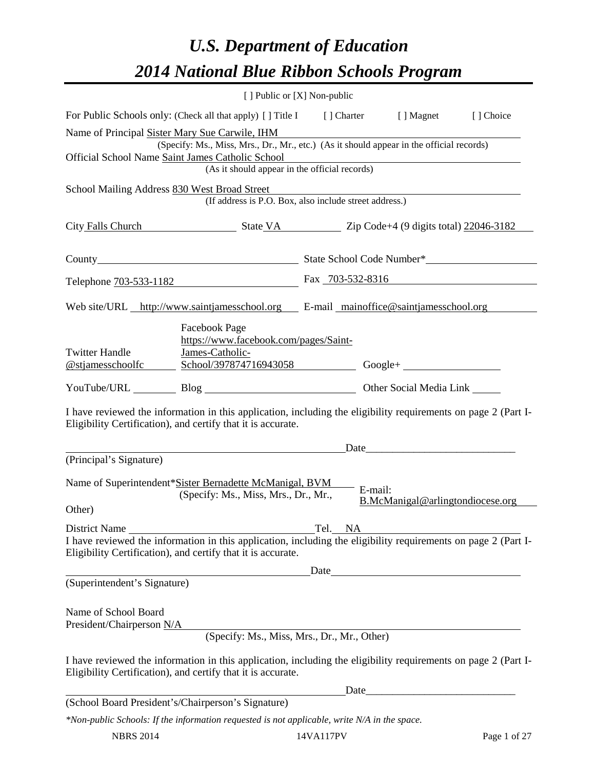# *U.S. Department of Education 2014 National Blue Ribbon Schools Program*

|                                                                                                                         | [ ] Public or [X] Non-public                                                                                                                                                   |         |         |                                  |  |  |
|-------------------------------------------------------------------------------------------------------------------------|--------------------------------------------------------------------------------------------------------------------------------------------------------------------------------|---------|---------|----------------------------------|--|--|
|                                                                                                                         | For Public Schools only: (Check all that apply) [] Title I [] Charter [] Magnet [] Choice                                                                                      |         |         |                                  |  |  |
| Name of Principal Sister Mary Sue Carwile, IHM                                                                          | (Specify: Ms., Miss, Mrs., Dr., Mr., etc.) (As it should appear in the official records)                                                                                       |         |         |                                  |  |  |
| Official School Name Saint James Catholic School<br>es Catholic School<br>(As it should appear in the official records) |                                                                                                                                                                                |         |         |                                  |  |  |
|                                                                                                                         | School Mailing Address 830 West Broad Street                                                                                                                                   |         |         |                                  |  |  |
|                                                                                                                         | (If address is P.O. Box, also include street address.)                                                                                                                         |         |         |                                  |  |  |
| City Falls Church State VA State VA Zip Code+4 (9 digits total) 22046-3182                                              |                                                                                                                                                                                |         |         |                                  |  |  |
|                                                                                                                         |                                                                                                                                                                                |         |         |                                  |  |  |
|                                                                                                                         | Telephone 703-533-1182 Fax 703-532-8316                                                                                                                                        |         |         |                                  |  |  |
|                                                                                                                         | Web site/URL http://www.saintjamesschool.org E-mail mainoffice@saintjamesschool.org                                                                                            |         |         |                                  |  |  |
| <b>Twitter Handle</b><br><u>@stjamesschoolfc</u>                                                                        | <b>Facebook Page</b><br>https://www.facebook.com/pages/Saint-<br>James-Catholic-                                                                                               |         |         |                                  |  |  |
|                                                                                                                         | YouTube/URL Blog Blog Discount Cher Social Media Link                                                                                                                          |         |         |                                  |  |  |
|                                                                                                                         | I have reviewed the information in this application, including the eligibility requirements on page 2 (Part I-<br>Eligibility Certification), and certify that it is accurate. |         |         |                                  |  |  |
| (Principal's Signature)                                                                                                 |                                                                                                                                                                                |         |         |                                  |  |  |
|                                                                                                                         |                                                                                                                                                                                |         |         |                                  |  |  |
| Other)                                                                                                                  | Name of Superintendent*Sister Bernadette McManigal, BVM<br>(Specify: Ms., Miss, Mrs., Dr., Mr.,                                                                                |         | E-mail: | B.McManigal@arlingtondiocese.org |  |  |
| District Name                                                                                                           |                                                                                                                                                                                | Tel. NA |         |                                  |  |  |
|                                                                                                                         | I have reviewed the information in this application, including the eligibility requirements on page 2 (Part I-<br>Eligibility Certification), and certify that it is accurate. |         |         |                                  |  |  |
| (Superintendent's Signature)                                                                                            |                                                                                                                                                                                | Date    |         |                                  |  |  |
| Name of School Board                                                                                                    |                                                                                                                                                                                |         |         |                                  |  |  |
| President/Chairperson N/A                                                                                               | (Specify: Ms., Miss, Mrs., Dr., Mr., Other)                                                                                                                                    |         |         |                                  |  |  |
|                                                                                                                         | I have reviewed the information in this application, including the eligibility requirements on page 2 (Part I-<br>Eligibility Certification), and certify that it is accurate. |         |         |                                  |  |  |
|                                                                                                                         |                                                                                                                                                                                |         | Date    |                                  |  |  |
|                                                                                                                         | (School Board President's/Chairperson's Signature)                                                                                                                             |         |         |                                  |  |  |
|                                                                                                                         | *Non-public Schools: If the information requested is not applicable, write N/A in the space.                                                                                   |         |         |                                  |  |  |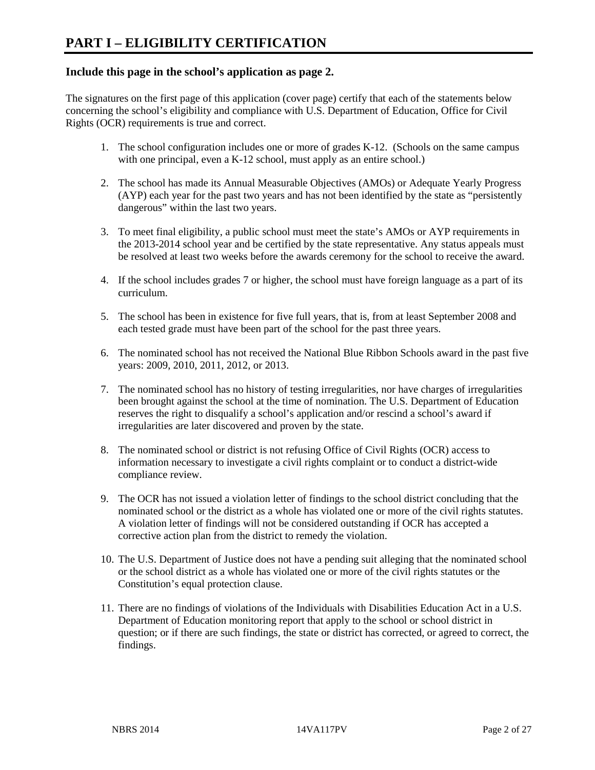# **Include this page in the school's application as page 2.**

The signatures on the first page of this application (cover page) certify that each of the statements below concerning the school's eligibility and compliance with U.S. Department of Education, Office for Civil Rights (OCR) requirements is true and correct.

- 1. The school configuration includes one or more of grades K-12. (Schools on the same campus with one principal, even a K-12 school, must apply as an entire school.)
- 2. The school has made its Annual Measurable Objectives (AMOs) or Adequate Yearly Progress (AYP) each year for the past two years and has not been identified by the state as "persistently dangerous" within the last two years.
- 3. To meet final eligibility, a public school must meet the state's AMOs or AYP requirements in the 2013-2014 school year and be certified by the state representative. Any status appeals must be resolved at least two weeks before the awards ceremony for the school to receive the award.
- 4. If the school includes grades 7 or higher, the school must have foreign language as a part of its curriculum.
- 5. The school has been in existence for five full years, that is, from at least September 2008 and each tested grade must have been part of the school for the past three years.
- 6. The nominated school has not received the National Blue Ribbon Schools award in the past five years: 2009, 2010, 2011, 2012, or 2013.
- 7. The nominated school has no history of testing irregularities, nor have charges of irregularities been brought against the school at the time of nomination. The U.S. Department of Education reserves the right to disqualify a school's application and/or rescind a school's award if irregularities are later discovered and proven by the state.
- 8. The nominated school or district is not refusing Office of Civil Rights (OCR) access to information necessary to investigate a civil rights complaint or to conduct a district-wide compliance review.
- 9. The OCR has not issued a violation letter of findings to the school district concluding that the nominated school or the district as a whole has violated one or more of the civil rights statutes. A violation letter of findings will not be considered outstanding if OCR has accepted a corrective action plan from the district to remedy the violation.
- 10. The U.S. Department of Justice does not have a pending suit alleging that the nominated school or the school district as a whole has violated one or more of the civil rights statutes or the Constitution's equal protection clause.
- 11. There are no findings of violations of the Individuals with Disabilities Education Act in a U.S. Department of Education monitoring report that apply to the school or school district in question; or if there are such findings, the state or district has corrected, or agreed to correct, the findings.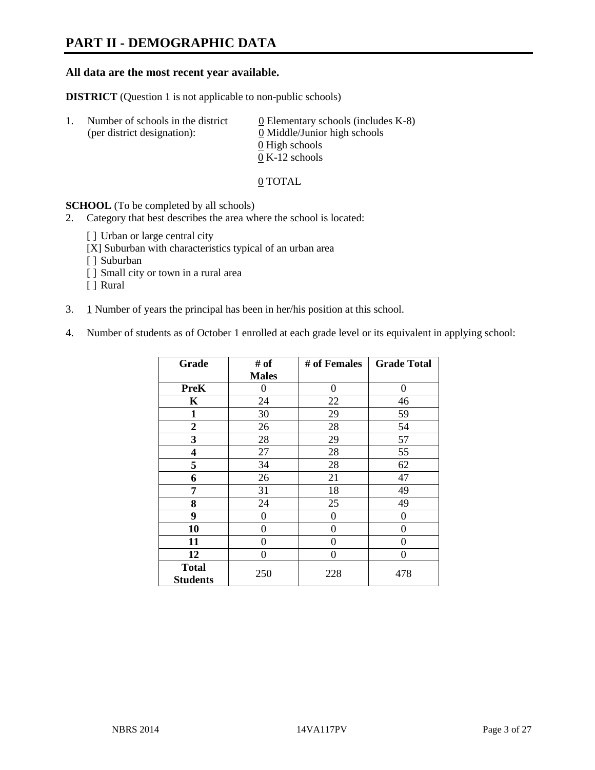# **PART II - DEMOGRAPHIC DATA**

#### **All data are the most recent year available.**

**DISTRICT** (Question 1 is not applicable to non-public schools)

| $\perp$ . | Number of schools in the district<br>(per district designation): | 0 Elementary schools (includes $K-8$ )<br>0 Middle/Junior high schools |
|-----------|------------------------------------------------------------------|------------------------------------------------------------------------|
|           |                                                                  | 0 High schools                                                         |
|           |                                                                  | $0 K-12$ schools                                                       |

0 TOTAL

**SCHOOL** (To be completed by all schools)

2. Category that best describes the area where the school is located:

- [] Urban or large central city
- [X] Suburban with characteristics typical of an urban area
- [ ] Suburban
- [ ] Small city or town in a rural area
- [ ] Rural
- 3.  $1$  Number of years the principal has been in her/his position at this school.
- 4. Number of students as of October 1 enrolled at each grade level or its equivalent in applying school:

| Grade                           | # of             | # of Females | <b>Grade Total</b> |
|---------------------------------|------------------|--------------|--------------------|
|                                 | <b>Males</b>     |              |                    |
| <b>PreK</b>                     | 0                | 0            | 0                  |
| K                               | 24               | 22           | 46                 |
| 1                               | 30               | 29           | 59                 |
| $\overline{2}$                  | 26               | 28           | 54                 |
| 3                               | 28               | 29           | 57                 |
| 4                               | 27               | 28           | 55                 |
| 5                               | 34               | 28           | 62                 |
| 6                               | 26               | 21           | 47                 |
| 7                               | 31               | 18           | 49                 |
| 8                               | 24               | 25           | 49                 |
| 9                               | $\boldsymbol{0}$ | 0            | 0                  |
| 10                              | 0                | 0            | 0                  |
| 11                              | $\theta$         | 0            | 0                  |
| 12                              | 0                | 0            | 0                  |
| <b>Total</b><br><b>Students</b> | 250              | 228          | 478                |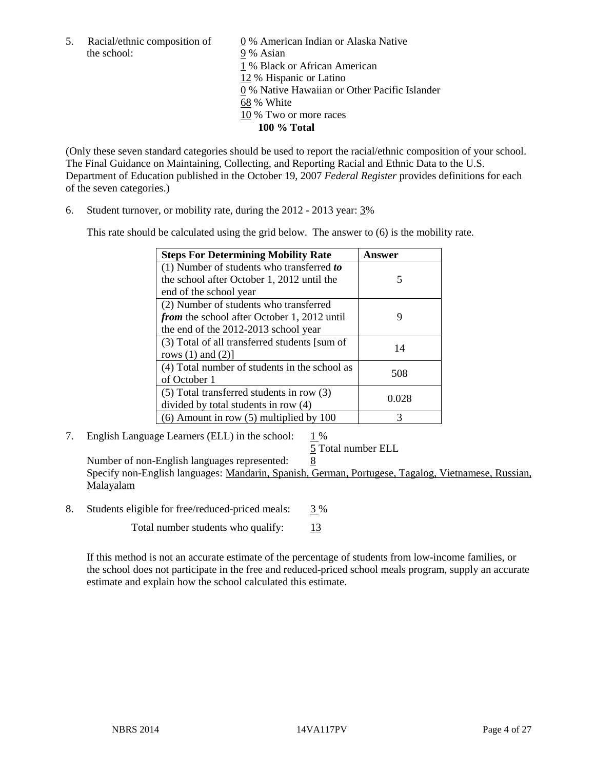the school: 9 % Asian

5. Racial/ethnic composition of  $\qquad \qquad \underline{0}$  % American Indian or Alaska Native 1 % Black or African American 12 % Hispanic or Latino 0 % Native Hawaiian or Other Pacific Islander 68 % White 10 % Two or more races **100 % Total** 

(Only these seven standard categories should be used to report the racial/ethnic composition of your school. The Final Guidance on Maintaining, Collecting, and Reporting Racial and Ethnic Data to the U.S. Department of Education published in the October 19, 2007 *Federal Register* provides definitions for each of the seven categories.)

6. Student turnover, or mobility rate, during the 2012 - 2013 year: 3%

This rate should be calculated using the grid below. The answer to (6) is the mobility rate.

| <b>Steps For Determining Mobility Rate</b>         | Answer |
|----------------------------------------------------|--------|
| (1) Number of students who transferred to          |        |
| the school after October 1, 2012 until the         | 5      |
| end of the school year                             |        |
| (2) Number of students who transferred             |        |
| <i>from</i> the school after October 1, 2012 until | 9      |
| the end of the 2012-2013 school year               |        |
| (3) Total of all transferred students [sum of      | 14     |
| rows $(1)$ and $(2)$ ]                             |        |
| (4) Total number of students in the school as      | 508    |
| of October 1                                       |        |
| $(5)$ Total transferred students in row $(3)$      | 0.028  |
| divided by total students in row (4)               |        |
| $(6)$ Amount in row $(5)$ multiplied by 100        | 3      |

7. English Language Learners (ELL) in the school: 1 %

5 Total number ELL

Number of non-English languages represented: 8 Specify non-English languages: Mandarin, Spanish, German, Portugese, Tagalog, Vietnamese, Russian, Malayalam

8. Students eligible for free/reduced-priced meals: 3 %

Total number students who qualify:  $\frac{13}{2}$ 

If this method is not an accurate estimate of the percentage of students from low-income families, or the school does not participate in the free and reduced-priced school meals program, supply an accurate estimate and explain how the school calculated this estimate.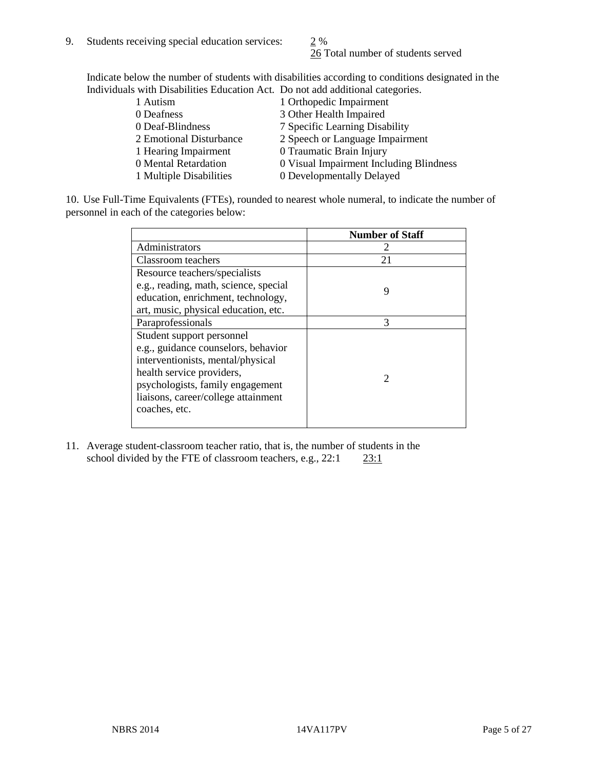26 Total number of students served

Indicate below the number of students with disabilities according to conditions designated in the Individuals with Disabilities Education Act. Do not add additional categories.

| 1 Autism                | 1 Orthopedic Impairment                 |
|-------------------------|-----------------------------------------|
| 0 Deafness              | 3 Other Health Impaired                 |
| 0 Deaf-Blindness        | 7 Specific Learning Disability          |
| 2 Emotional Disturbance | 2 Speech or Language Impairment         |
| 1 Hearing Impairment    | 0 Traumatic Brain Injury                |
| 0 Mental Retardation    | 0 Visual Impairment Including Blindness |
| 1 Multiple Disabilities | 0 Developmentally Delayed               |
|                         |                                         |

10. Use Full-Time Equivalents (FTEs), rounded to nearest whole numeral, to indicate the number of personnel in each of the categories below:

|                                       | <b>Number of Staff</b> |
|---------------------------------------|------------------------|
| Administrators                        |                        |
| Classroom teachers                    | 21                     |
| Resource teachers/specialists         |                        |
| e.g., reading, math, science, special | 9                      |
| education, enrichment, technology,    |                        |
| art, music, physical education, etc.  |                        |
| Paraprofessionals                     | 3                      |
| Student support personnel             |                        |
| e.g., guidance counselors, behavior   |                        |
| interventionists, mental/physical     |                        |
| health service providers,             | 2                      |
| psychologists, family engagement      |                        |
| liaisons, career/college attainment   |                        |
| coaches, etc.                         |                        |
|                                       |                        |

11. Average student-classroom teacher ratio, that is, the number of students in the school divided by the FTE of classroom teachers, e.g.,  $22:1$   $23:1$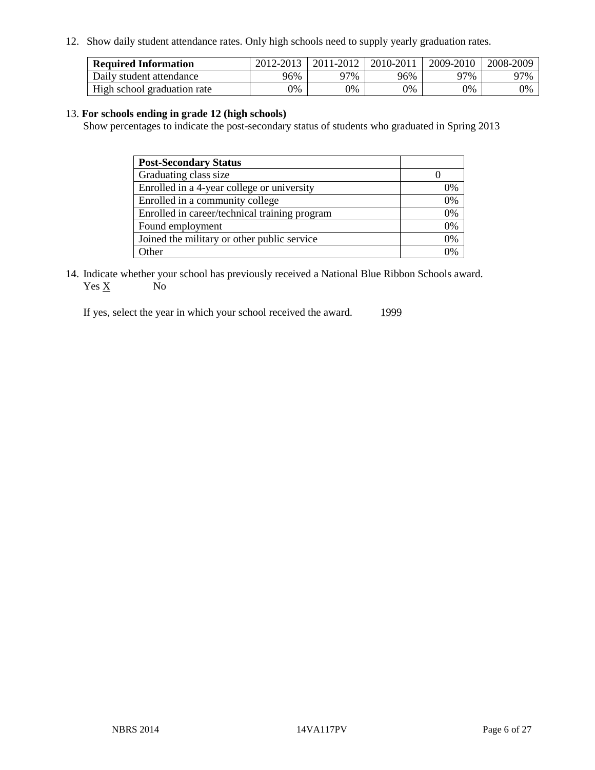12. Show daily student attendance rates. Only high schools need to supply yearly graduation rates.

| <b>Required Information</b> | 2012-2013 | 2011-2012 | 2010-2011 | 2009-2010 | 2008-2009 |
|-----------------------------|-----------|-----------|-----------|-----------|-----------|
| Daily student attendance    | 96%       | 97%       | 96%       | 97%       | 97%       |
| High school graduation rate | 0%        | 9%        | 0%        | 0%        | 0%        |

#### 13. **For schools ending in grade 12 (high schools)**

Show percentages to indicate the post-secondary status of students who graduated in Spring 2013

| <b>Post-Secondary Status</b>                  |    |
|-----------------------------------------------|----|
| Graduating class size                         |    |
| Enrolled in a 4-year college or university    | 0% |
| Enrolled in a community college               | 0% |
| Enrolled in career/technical training program | 0% |
| Found employment                              | 0% |
| Joined the military or other public service   | 0% |
| .)ther                                        | ገ% |

14. Indicate whether your school has previously received a National Blue Ribbon Schools award.  $Yes \underline{X}$  No

If yes, select the year in which your school received the award. 1999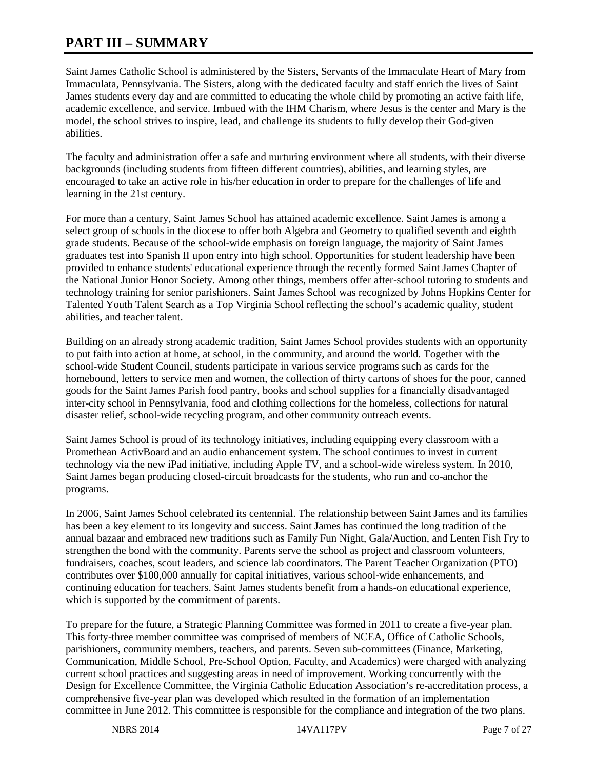# **PART III – SUMMARY**

Saint James Catholic School is administered by the Sisters, Servants of the Immaculate Heart of Mary from Immaculata, Pennsylvania. The Sisters, along with the dedicated faculty and staff enrich the lives of Saint James students every day and are committed to educating the whole child by promoting an active faith life, academic excellence, and service. Imbued with the IHM Charism, where Jesus is the center and Mary is the model, the school strives to inspire, lead, and challenge its students to fully develop their God-given abilities.

The faculty and administration offer a safe and nurturing environment where all students, with their diverse backgrounds (including students from fifteen different countries), abilities, and learning styles, are encouraged to take an active role in his/her education in order to prepare for the challenges of life and learning in the 21st century.

For more than a century, Saint James School has attained academic excellence. Saint James is among a select group of schools in the diocese to offer both Algebra and Geometry to qualified seventh and eighth grade students. Because of the school-wide emphasis on foreign language, the majority of Saint James graduates test into Spanish II upon entry into high school. Opportunities for student leadership have been provided to enhance students' educational experience through the recently formed Saint James Chapter of the National Junior Honor Society. Among other things, members offer after-school tutoring to students and technology training for senior parishioners. Saint James School was recognized by Johns Hopkins Center for Talented Youth Talent Search as a Top Virginia School reflecting the school's academic quality, student abilities, and teacher talent.

Building on an already strong academic tradition, Saint James School provides students with an opportunity to put faith into action at home, at school, in the community, and around the world. Together with the school-wide Student Council, students participate in various service programs such as cards for the homebound, letters to service men and women, the collection of thirty cartons of shoes for the poor, canned goods for the Saint James Parish food pantry, books and school supplies for a financially disadvantaged inter-city school in Pennsylvania, food and clothing collections for the homeless, collections for natural disaster relief, school-wide recycling program, and other community outreach events.

Saint James School is proud of its technology initiatives, including equipping every classroom with a Promethean ActivBoard and an audio enhancement system. The school continues to invest in current technology via the new iPad initiative, including Apple TV, and a school-wide wireless system. In 2010, Saint James began producing closed-circuit broadcasts for the students, who run and co-anchor the programs.

In 2006, Saint James School celebrated its centennial. The relationship between Saint James and its families has been a key element to its longevity and success. Saint James has continued the long tradition of the annual bazaar and embraced new traditions such as Family Fun Night, Gala/Auction, and Lenten Fish Fry to strengthen the bond with the community. Parents serve the school as project and classroom volunteers, fundraisers, coaches, scout leaders, and science lab coordinators. The Parent Teacher Organization (PTO) contributes over \$100,000 annually for capital initiatives, various school-wide enhancements, and continuing education for teachers. Saint James students benefit from a hands-on educational experience, which is supported by the commitment of parents.

To prepare for the future, a Strategic Planning Committee was formed in 2011 to create a five-year plan. This forty-three member committee was comprised of members of NCEA, Office of Catholic Schools, parishioners, community members, teachers, and parents. Seven sub-committees (Finance, Marketing, Communication, Middle School, Pre-School Option, Faculty, and Academics) were charged with analyzing current school practices and suggesting areas in need of improvement. Working concurrently with the Design for Excellence Committee, the Virginia Catholic Education Association's re-accreditation process, a comprehensive five-year plan was developed which resulted in the formation of an implementation committee in June 2012. This committee is responsible for the compliance and integration of the two plans.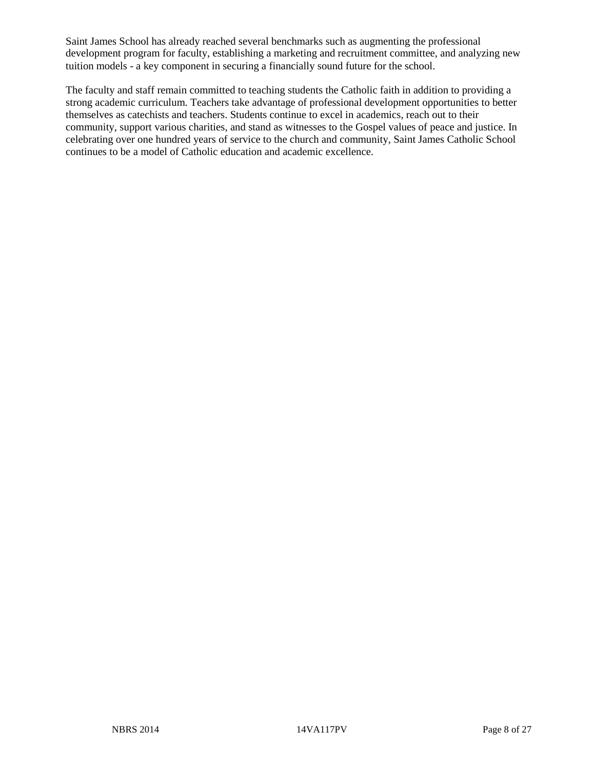Saint James School has already reached several benchmarks such as augmenting the professional development program for faculty, establishing a marketing and recruitment committee, and analyzing new tuition models - a key component in securing a financially sound future for the school.

The faculty and staff remain committed to teaching students the Catholic faith in addition to providing a strong academic curriculum. Teachers take advantage of professional development opportunities to better themselves as catechists and teachers. Students continue to excel in academics, reach out to their community, support various charities, and stand as witnesses to the Gospel values of peace and justice. In celebrating over one hundred years of service to the church and community, Saint James Catholic School continues to be a model of Catholic education and academic excellence.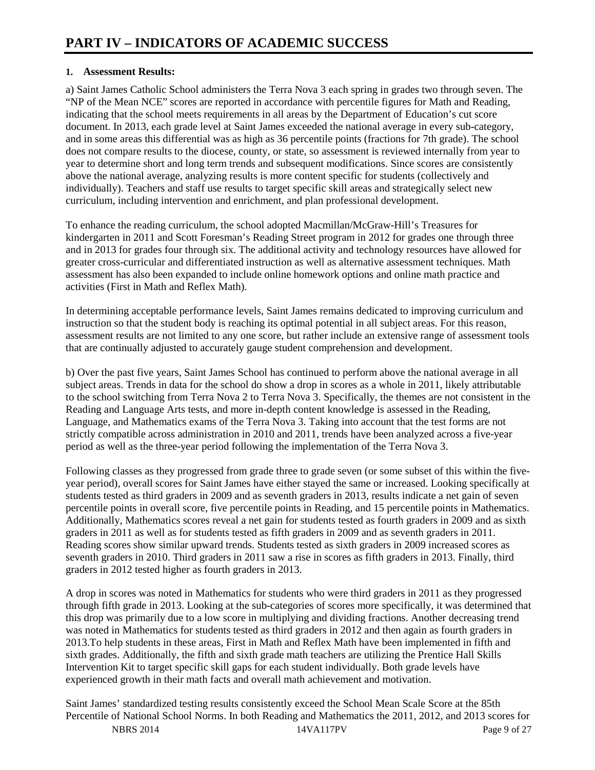# **1. Assessment Results:**

a) Saint James Catholic School administers the Terra Nova 3 each spring in grades two through seven. The "NP of the Mean NCE" scores are reported in accordance with percentile figures for Math and Reading, indicating that the school meets requirements in all areas by the Department of Education's cut score document. In 2013, each grade level at Saint James exceeded the national average in every sub-category, and in some areas this differential was as high as 36 percentile points (fractions for 7th grade). The school does not compare results to the diocese, county, or state, so assessment is reviewed internally from year to year to determine short and long term trends and subsequent modifications. Since scores are consistently above the national average, analyzing results is more content specific for students (collectively and individually). Teachers and staff use results to target specific skill areas and strategically select new curriculum, including intervention and enrichment, and plan professional development.

To enhance the reading curriculum, the school adopted Macmillan/McGraw-Hill's Treasures for kindergarten in 2011 and Scott Foresman's Reading Street program in 2012 for grades one through three and in 2013 for grades four through six. The additional activity and technology resources have allowed for greater cross-curricular and differentiated instruction as well as alternative assessment techniques. Math assessment has also been expanded to include online homework options and online math practice and activities (First in Math and Reflex Math).

In determining acceptable performance levels, Saint James remains dedicated to improving curriculum and instruction so that the student body is reaching its optimal potential in all subject areas. For this reason, assessment results are not limited to any one score, but rather include an extensive range of assessment tools that are continually adjusted to accurately gauge student comprehension and development.

b) Over the past five years, Saint James School has continued to perform above the national average in all subject areas. Trends in data for the school do show a drop in scores as a whole in 2011, likely attributable to the school switching from Terra Nova 2 to Terra Nova 3. Specifically, the themes are not consistent in the Reading and Language Arts tests, and more in-depth content knowledge is assessed in the Reading, Language, and Mathematics exams of the Terra Nova 3. Taking into account that the test forms are not strictly compatible across administration in 2010 and 2011, trends have been analyzed across a five-year period as well as the three-year period following the implementation of the Terra Nova 3.

Following classes as they progressed from grade three to grade seven (or some subset of this within the fiveyear period), overall scores for Saint James have either stayed the same or increased. Looking specifically at students tested as third graders in 2009 and as seventh graders in 2013, results indicate a net gain of seven percentile points in overall score, five percentile points in Reading, and 15 percentile points in Mathematics. Additionally, Mathematics scores reveal a net gain for students tested as fourth graders in 2009 and as sixth graders in 2011 as well as for students tested as fifth graders in 2009 and as seventh graders in 2011. Reading scores show similar upward trends. Students tested as sixth graders in 2009 increased scores as seventh graders in 2010. Third graders in 2011 saw a rise in scores as fifth graders in 2013. Finally, third graders in 2012 tested higher as fourth graders in 2013.

A drop in scores was noted in Mathematics for students who were third graders in 2011 as they progressed through fifth grade in 2013. Looking at the sub-categories of scores more specifically, it was determined that this drop was primarily due to a low score in multiplying and dividing fractions. Another decreasing trend was noted in Mathematics for students tested as third graders in 2012 and then again as fourth graders in 2013.To help students in these areas, First in Math and Reflex Math have been implemented in fifth and sixth grades. Additionally, the fifth and sixth grade math teachers are utilizing the Prentice Hall Skills Intervention Kit to target specific skill gaps for each student individually. Both grade levels have experienced growth in their math facts and overall math achievement and motivation.

Saint James' standardized testing results consistently exceed the School Mean Scale Score at the 85th Percentile of National School Norms. In both Reading and Mathematics the 2011, 2012, and 2013 scores for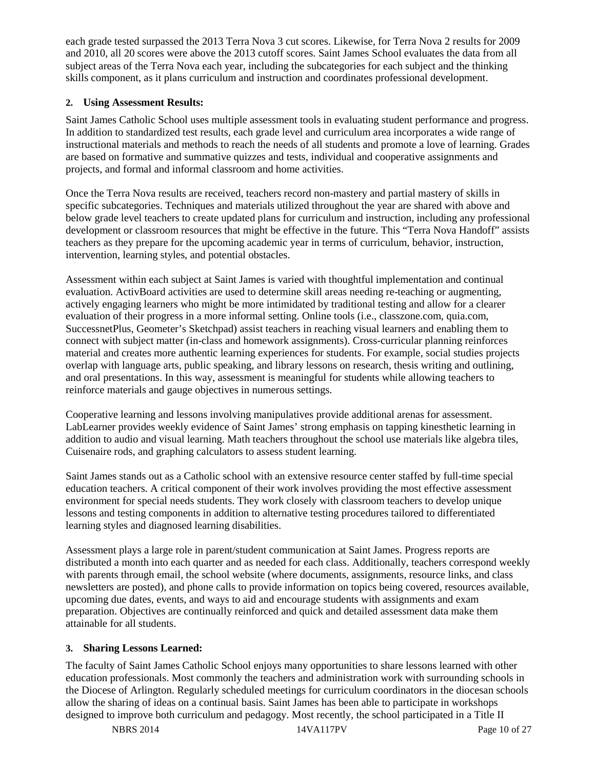each grade tested surpassed the 2013 Terra Nova 3 cut scores. Likewise, for Terra Nova 2 results for 2009 and 2010, all 20 scores were above the 2013 cutoff scores. Saint James School evaluates the data from all subject areas of the Terra Nova each year, including the subcategories for each subject and the thinking skills component, as it plans curriculum and instruction and coordinates professional development.

# **2. Using Assessment Results:**

Saint James Catholic School uses multiple assessment tools in evaluating student performance and progress. In addition to standardized test results, each grade level and curriculum area incorporates a wide range of instructional materials and methods to reach the needs of all students and promote a love of learning. Grades are based on formative and summative quizzes and tests, individual and cooperative assignments and projects, and formal and informal classroom and home activities.

Once the Terra Nova results are received, teachers record non-mastery and partial mastery of skills in specific subcategories. Techniques and materials utilized throughout the year are shared with above and below grade level teachers to create updated plans for curriculum and instruction, including any professional development or classroom resources that might be effective in the future. This "Terra Nova Handoff" assists teachers as they prepare for the upcoming academic year in terms of curriculum, behavior, instruction, intervention, learning styles, and potential obstacles.

Assessment within each subject at Saint James is varied with thoughtful implementation and continual evaluation. ActivBoard activities are used to determine skill areas needing re-teaching or augmenting, actively engaging learners who might be more intimidated by traditional testing and allow for a clearer evaluation of their progress in a more informal setting. Online tools (i.e., classzone.com, quia.com, SuccessnetPlus, Geometer's Sketchpad) assist teachers in reaching visual learners and enabling them to connect with subject matter (in-class and homework assignments). Cross-curricular planning reinforces material and creates more authentic learning experiences for students. For example, social studies projects overlap with language arts, public speaking, and library lessons on research, thesis writing and outlining, and oral presentations. In this way, assessment is meaningful for students while allowing teachers to reinforce materials and gauge objectives in numerous settings.

Cooperative learning and lessons involving manipulatives provide additional arenas for assessment. LabLearner provides weekly evidence of Saint James' strong emphasis on tapping kinesthetic learning in addition to audio and visual learning. Math teachers throughout the school use materials like algebra tiles, Cuisenaire rods, and graphing calculators to assess student learning.

Saint James stands out as a Catholic school with an extensive resource center staffed by full-time special education teachers. A critical component of their work involves providing the most effective assessment environment for special needs students. They work closely with classroom teachers to develop unique lessons and testing components in addition to alternative testing procedures tailored to differentiated learning styles and diagnosed learning disabilities.

Assessment plays a large role in parent/student communication at Saint James. Progress reports are distributed a month into each quarter and as needed for each class. Additionally, teachers correspond weekly with parents through email, the school website (where documents, assignments, resource links, and class newsletters are posted), and phone calls to provide information on topics being covered, resources available, upcoming due dates, events, and ways to aid and encourage students with assignments and exam preparation. Objectives are continually reinforced and quick and detailed assessment data make them attainable for all students.

# **3. Sharing Lessons Learned:**

The faculty of Saint James Catholic School enjoys many opportunities to share lessons learned with other education professionals. Most commonly the teachers and administration work with surrounding schools in the Diocese of Arlington. Regularly scheduled meetings for curriculum coordinators in the diocesan schools allow the sharing of ideas on a continual basis. Saint James has been able to participate in workshops designed to improve both curriculum and pedagogy. Most recently, the school participated in a Title II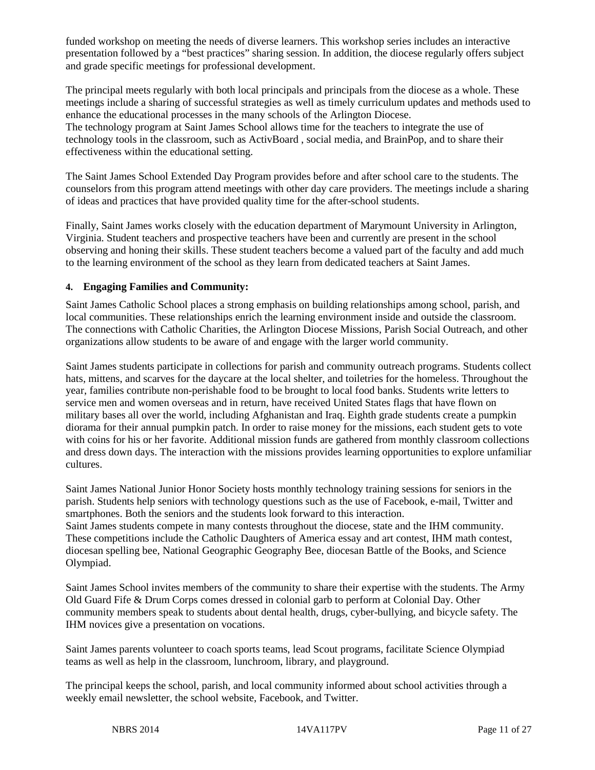funded workshop on meeting the needs of diverse learners. This workshop series includes an interactive presentation followed by a "best practices" sharing session. In addition, the diocese regularly offers subject and grade specific meetings for professional development.

The principal meets regularly with both local principals and principals from the diocese as a whole. These meetings include a sharing of successful strategies as well as timely curriculum updates and methods used to enhance the educational processes in the many schools of the Arlington Diocese. The technology program at Saint James School allows time for the teachers to integrate the use of technology tools in the classroom, such as ActivBoard , social media, and BrainPop, and to share their effectiveness within the educational setting.

The Saint James School Extended Day Program provides before and after school care to the students. The counselors from this program attend meetings with other day care providers. The meetings include a sharing of ideas and practices that have provided quality time for the after-school students.

Finally, Saint James works closely with the education department of Marymount University in Arlington, Virginia. Student teachers and prospective teachers have been and currently are present in the school observing and honing their skills. These student teachers become a valued part of the faculty and add much to the learning environment of the school as they learn from dedicated teachers at Saint James.

#### **4. Engaging Families and Community:**

Saint James Catholic School places a strong emphasis on building relationships among school, parish, and local communities. These relationships enrich the learning environment inside and outside the classroom. The connections with Catholic Charities, the Arlington Diocese Missions, Parish Social Outreach, and other organizations allow students to be aware of and engage with the larger world community.

Saint James students participate in collections for parish and community outreach programs. Students collect hats, mittens, and scarves for the daycare at the local shelter, and toiletries for the homeless. Throughout the year, families contribute non-perishable food to be brought to local food banks. Students write letters to service men and women overseas and in return, have received United States flags that have flown on military bases all over the world, including Afghanistan and Iraq. Eighth grade students create a pumpkin diorama for their annual pumpkin patch. In order to raise money for the missions, each student gets to vote with coins for his or her favorite. Additional mission funds are gathered from monthly classroom collections and dress down days. The interaction with the missions provides learning opportunities to explore unfamiliar cultures.

Saint James National Junior Honor Society hosts monthly technology training sessions for seniors in the parish. Students help seniors with technology questions such as the use of Facebook, e-mail, Twitter and smartphones. Both the seniors and the students look forward to this interaction. Saint James students compete in many contests throughout the diocese, state and the IHM community. These competitions include the Catholic Daughters of America essay and art contest, IHM math contest, diocesan spelling bee, National Geographic Geography Bee, diocesan Battle of the Books, and Science Olympiad.

Saint James School invites members of the community to share their expertise with the students. The Army Old Guard Fife & Drum Corps comes dressed in colonial garb to perform at Colonial Day. Other community members speak to students about dental health, drugs, cyber-bullying, and bicycle safety. The IHM novices give a presentation on vocations.

Saint James parents volunteer to coach sports teams, lead Scout programs, facilitate Science Olympiad teams as well as help in the classroom, lunchroom, library, and playground.

The principal keeps the school, parish, and local community informed about school activities through a weekly email newsletter, the school website, Facebook, and Twitter.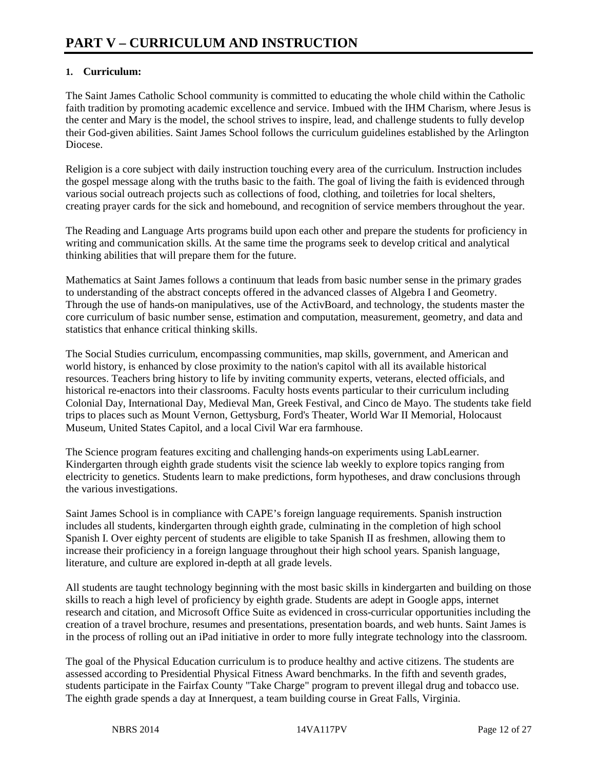# **1. Curriculum:**

The Saint James Catholic School community is committed to educating the whole child within the Catholic faith tradition by promoting academic excellence and service. Imbued with the IHM Charism, where Jesus is the center and Mary is the model, the school strives to inspire, lead, and challenge students to fully develop their God-given abilities. Saint James School follows the curriculum guidelines established by the Arlington Diocese.

Religion is a core subject with daily instruction touching every area of the curriculum. Instruction includes the gospel message along with the truths basic to the faith. The goal of living the faith is evidenced through various social outreach projects such as collections of food, clothing, and toiletries for local shelters, creating prayer cards for the sick and homebound, and recognition of service members throughout the year.

The Reading and Language Arts programs build upon each other and prepare the students for proficiency in writing and communication skills. At the same time the programs seek to develop critical and analytical thinking abilities that will prepare them for the future.

Mathematics at Saint James follows a continuum that leads from basic number sense in the primary grades to understanding of the abstract concepts offered in the advanced classes of Algebra I and Geometry. Through the use of hands-on manipulatives, use of the ActivBoard, and technology, the students master the core curriculum of basic number sense, estimation and computation, measurement, geometry, and data and statistics that enhance critical thinking skills.

The Social Studies curriculum, encompassing communities, map skills, government, and American and world history, is enhanced by close proximity to the nation's capitol with all its available historical resources. Teachers bring history to life by inviting community experts, veterans, elected officials, and historical re-enactors into their classrooms. Faculty hosts events particular to their curriculum including Colonial Day, International Day, Medieval Man, Greek Festival, and Cinco de Mayo. The students take field trips to places such as Mount Vernon, Gettysburg, Ford's Theater, World War II Memorial, Holocaust Museum, United States Capitol, and a local Civil War era farmhouse.

The Science program features exciting and challenging hands-on experiments using LabLearner. Kindergarten through eighth grade students visit the science lab weekly to explore topics ranging from electricity to genetics. Students learn to make predictions, form hypotheses, and draw conclusions through the various investigations.

Saint James School is in compliance with CAPE's foreign language requirements. Spanish instruction includes all students, kindergarten through eighth grade, culminating in the completion of high school Spanish I. Over eighty percent of students are eligible to take Spanish II as freshmen, allowing them to increase their proficiency in a foreign language throughout their high school years. Spanish language, literature, and culture are explored in-depth at all grade levels.

All students are taught technology beginning with the most basic skills in kindergarten and building on those skills to reach a high level of proficiency by eighth grade. Students are adept in Google apps, internet research and citation, and Microsoft Office Suite as evidenced in cross-curricular opportunities including the creation of a travel brochure, resumes and presentations, presentation boards, and web hunts. Saint James is in the process of rolling out an iPad initiative in order to more fully integrate technology into the classroom.

The goal of the Physical Education curriculum is to produce healthy and active citizens. The students are assessed according to Presidential Physical Fitness Award benchmarks. In the fifth and seventh grades, students participate in the Fairfax County "Take Charge" program to prevent illegal drug and tobacco use. The eighth grade spends a day at Innerquest, a team building course in Great Falls, Virginia.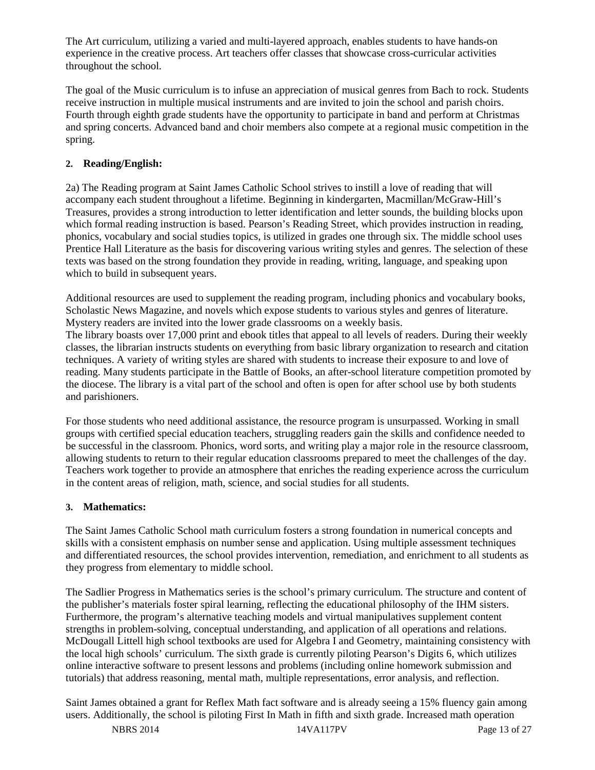The Art curriculum, utilizing a varied and multi-layered approach, enables students to have hands-on experience in the creative process. Art teachers offer classes that showcase cross-curricular activities throughout the school.

The goal of the Music curriculum is to infuse an appreciation of musical genres from Bach to rock. Students receive instruction in multiple musical instruments and are invited to join the school and parish choirs. Fourth through eighth grade students have the opportunity to participate in band and perform at Christmas and spring concerts. Advanced band and choir members also compete at a regional music competition in the spring.

# **2. Reading/English:**

2a) The Reading program at Saint James Catholic School strives to instill a love of reading that will accompany each student throughout a lifetime. Beginning in kindergarten, Macmillan/McGraw-Hill's Treasures, provides a strong introduction to letter identification and letter sounds, the building blocks upon which formal reading instruction is based. Pearson's Reading Street, which provides instruction in reading, phonics, vocabulary and social studies topics, is utilized in grades one through six. The middle school uses Prentice Hall Literature as the basis for discovering various writing styles and genres. The selection of these texts was based on the strong foundation they provide in reading, writing, language, and speaking upon which to build in subsequent years.

Additional resources are used to supplement the reading program, including phonics and vocabulary books, Scholastic News Magazine, and novels which expose students to various styles and genres of literature. Mystery readers are invited into the lower grade classrooms on a weekly basis.

The library boasts over 17,000 print and ebook titles that appeal to all levels of readers. During their weekly classes, the librarian instructs students on everything from basic library organization to research and citation techniques. A variety of writing styles are shared with students to increase their exposure to and love of reading. Many students participate in the Battle of Books, an after-school literature competition promoted by the diocese. The library is a vital part of the school and often is open for after school use by both students and parishioners.

For those students who need additional assistance, the resource program is unsurpassed. Working in small groups with certified special education teachers, struggling readers gain the skills and confidence needed to be successful in the classroom. Phonics, word sorts, and writing play a major role in the resource classroom, allowing students to return to their regular education classrooms prepared to meet the challenges of the day. Teachers work together to provide an atmosphere that enriches the reading experience across the curriculum in the content areas of religion, math, science, and social studies for all students.

# **3. Mathematics:**

The Saint James Catholic School math curriculum fosters a strong foundation in numerical concepts and skills with a consistent emphasis on number sense and application. Using multiple assessment techniques and differentiated resources, the school provides intervention, remediation, and enrichment to all students as they progress from elementary to middle school.

The Sadlier Progress in Mathematics series is the school's primary curriculum. The structure and content of the publisher's materials foster spiral learning, reflecting the educational philosophy of the IHM sisters. Furthermore, the program's alternative teaching models and virtual manipulatives supplement content strengths in problem-solving, conceptual understanding, and application of all operations and relations. McDougall Littell high school textbooks are used for Algebra I and Geometry, maintaining consistency with the local high schools' curriculum. The sixth grade is currently piloting Pearson's Digits 6, which utilizes online interactive software to present lessons and problems (including online homework submission and tutorials) that address reasoning, mental math, multiple representations, error analysis, and reflection.

Saint James obtained a grant for Reflex Math fact software and is already seeing a 15% fluency gain among users. Additionally, the school is piloting First In Math in fifth and sixth grade. Increased math operation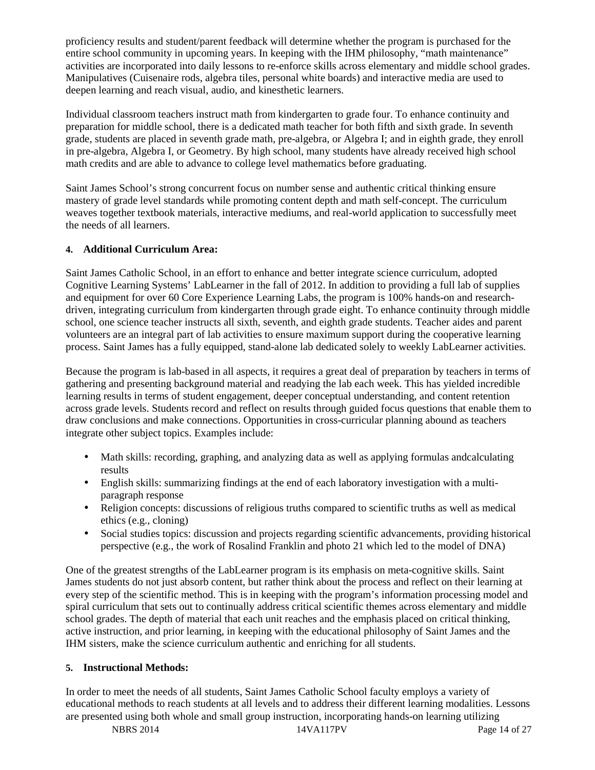proficiency results and student/parent feedback will determine whether the program is purchased for the entire school community in upcoming years. In keeping with the IHM philosophy, "math maintenance" activities are incorporated into daily lessons to re-enforce skills across elementary and middle school grades. Manipulatives (Cuisenaire rods, algebra tiles, personal white boards) and interactive media are used to deepen learning and reach visual, audio, and kinesthetic learners.

Individual classroom teachers instruct math from kindergarten to grade four. To enhance continuity and preparation for middle school, there is a dedicated math teacher for both fifth and sixth grade. In seventh grade, students are placed in seventh grade math, pre-algebra, or Algebra I; and in eighth grade, they enroll in pre-algebra, Algebra I, or Geometry. By high school, many students have already received high school math credits and are able to advance to college level mathematics before graduating.

Saint James School's strong concurrent focus on number sense and authentic critical thinking ensure mastery of grade level standards while promoting content depth and math self-concept. The curriculum weaves together textbook materials, interactive mediums, and real-world application to successfully meet the needs of all learners.

# **4. Additional Curriculum Area:**

Saint James Catholic School, in an effort to enhance and better integrate science curriculum, adopted Cognitive Learning Systems' LabLearner in the fall of 2012. In addition to providing a full lab of supplies and equipment for over 60 Core Experience Learning Labs, the program is 100% hands-on and researchdriven, integrating curriculum from kindergarten through grade eight. To enhance continuity through middle school, one science teacher instructs all sixth, seventh, and eighth grade students. Teacher aides and parent volunteers are an integral part of lab activities to ensure maximum support during the cooperative learning process. Saint James has a fully equipped, stand-alone lab dedicated solely to weekly LabLearner activities.

Because the program is lab-based in all aspects, it requires a great deal of preparation by teachers in terms of gathering and presenting background material and readying the lab each week. This has yielded incredible learning results in terms of student engagement, deeper conceptual understanding, and content retention across grade levels. Students record and reflect on results through guided focus questions that enable them to draw conclusions and make connections. Opportunities in cross-curricular planning abound as teachers integrate other subject topics. Examples include:

- Math skills: recording, graphing, and analyzing data as well as applying formulas and calculating results
- English skills: summarizing findings at the end of each laboratory investigation with a multiparagraph response
- Religion concepts: discussions of religious truths compared to scientific truths as well as medical ethics (e.g., cloning)
- Social studies topics: discussion and projects regarding scientific advancements, providing historical perspective (e.g., the work of Rosalind Franklin and photo 21 which led to the model of DNA)

One of the greatest strengths of the LabLearner program is its emphasis on meta-cognitive skills. Saint James students do not just absorb content, but rather think about the process and reflect on their learning at every step of the scientific method. This is in keeping with the program's information processing model and spiral curriculum that sets out to continually address critical scientific themes across elementary and middle school grades. The depth of material that each unit reaches and the emphasis placed on critical thinking, active instruction, and prior learning, in keeping with the educational philosophy of Saint James and the IHM sisters, make the science curriculum authentic and enriching for all students.

# **5. Instructional Methods:**

In order to meet the needs of all students, Saint James Catholic School faculty employs a variety of educational methods to reach students at all levels and to address their different learning modalities. Lessons are presented using both whole and small group instruction, incorporating hands-on learning utilizing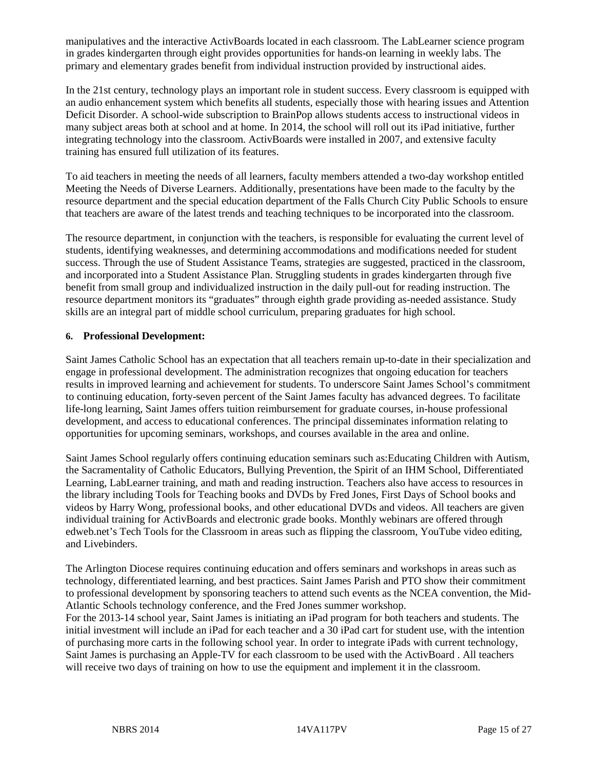manipulatives and the interactive ActivBoards located in each classroom. The LabLearner science program in grades kindergarten through eight provides opportunities for hands-on learning in weekly labs. The primary and elementary grades benefit from individual instruction provided by instructional aides.

In the 21st century, technology plays an important role in student success. Every classroom is equipped with an audio enhancement system which benefits all students, especially those with hearing issues and Attention Deficit Disorder. A school-wide subscription to BrainPop allows students access to instructional videos in many subject areas both at school and at home. In 2014, the school will roll out its iPad initiative, further integrating technology into the classroom. ActivBoards were installed in 2007, and extensive faculty training has ensured full utilization of its features.

To aid teachers in meeting the needs of all learners, faculty members attended a two-day workshop entitled Meeting the Needs of Diverse Learners. Additionally, presentations have been made to the faculty by the resource department and the special education department of the Falls Church City Public Schools to ensure that teachers are aware of the latest trends and teaching techniques to be incorporated into the classroom.

The resource department, in conjunction with the teachers, is responsible for evaluating the current level of students, identifying weaknesses, and determining accommodations and modifications needed for student success. Through the use of Student Assistance Teams, strategies are suggested, practiced in the classroom, and incorporated into a Student Assistance Plan. Struggling students in grades kindergarten through five benefit from small group and individualized instruction in the daily pull-out for reading instruction. The resource department monitors its "graduates" through eighth grade providing as-needed assistance. Study skills are an integral part of middle school curriculum, preparing graduates for high school.

#### **6. Professional Development:**

Saint James Catholic School has an expectation that all teachers remain up-to-date in their specialization and engage in professional development. The administration recognizes that ongoing education for teachers results in improved learning and achievement for students. To underscore Saint James School's commitment to continuing education, forty-seven percent of the Saint James faculty has advanced degrees. To facilitate life-long learning, Saint James offers tuition reimbursement for graduate courses, in-house professional development, and access to educational conferences. The principal disseminates information relating to opportunities for upcoming seminars, workshops, and courses available in the area and online.

Saint James School regularly offers continuing education seminars such as:Educating Children with Autism, the Sacramentality of Catholic Educators, Bullying Prevention, the Spirit of an IHM School, Differentiated Learning, LabLearner training, and math and reading instruction. Teachers also have access to resources in the library including Tools for Teaching books and DVDs by Fred Jones, First Days of School books and videos by Harry Wong, professional books, and other educational DVDs and videos. All teachers are given individual training for ActivBoards and electronic grade books. Monthly webinars are offered through edweb.net's Tech Tools for the Classroom in areas such as flipping the classroom, YouTube video editing, and Livebinders.

The Arlington Diocese requires continuing education and offers seminars and workshops in areas such as technology, differentiated learning, and best practices. Saint James Parish and PTO show their commitment to professional development by sponsoring teachers to attend such events as the NCEA convention, the Mid-Atlantic Schools technology conference, and the Fred Jones summer workshop.

For the 2013-14 school year, Saint James is initiating an iPad program for both teachers and students. The initial investment will include an iPad for each teacher and a 30 iPad cart for student use, with the intention of purchasing more carts in the following school year. In order to integrate iPads with current technology, Saint James is purchasing an Apple-TV for each classroom to be used with the ActivBoard . All teachers will receive two days of training on how to use the equipment and implement it in the classroom.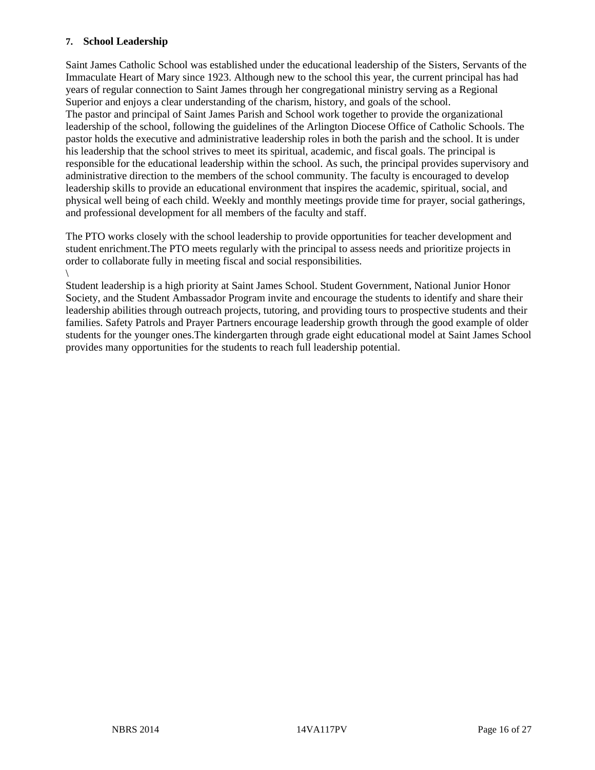#### **7. School Leadership**

Saint James Catholic School was established under the educational leadership of the Sisters, Servants of the Immaculate Heart of Mary since 1923. Although new to the school this year, the current principal has had years of regular connection to Saint James through her congregational ministry serving as a Regional Superior and enjoys a clear understanding of the charism, history, and goals of the school. The pastor and principal of Saint James Parish and School work together to provide the organizational leadership of the school, following the guidelines of the Arlington Diocese Office of Catholic Schools. The pastor holds the executive and administrative leadership roles in both the parish and the school. It is under his leadership that the school strives to meet its spiritual, academic, and fiscal goals. The principal is responsible for the educational leadership within the school. As such, the principal provides supervisory and administrative direction to the members of the school community. The faculty is encouraged to develop leadership skills to provide an educational environment that inspires the academic, spiritual, social, and physical well being of each child. Weekly and monthly meetings provide time for prayer, social gatherings, and professional development for all members of the faculty and staff.

The PTO works closely with the school leadership to provide opportunities for teacher development and student enrichment.The PTO meets regularly with the principal to assess needs and prioritize projects in order to collaborate fully in meeting fiscal and social responsibilities.

Student leadership is a high priority at Saint James School. Student Government, National Junior Honor Society, and the Student Ambassador Program invite and encourage the students to identify and share their leadership abilities through outreach projects, tutoring, and providing tours to prospective students and their families. Safety Patrols and Prayer Partners encourage leadership growth through the good example of older students for the younger ones.The kindergarten through grade eight educational model at Saint James School provides many opportunities for the students to reach full leadership potential.

 $\setminus$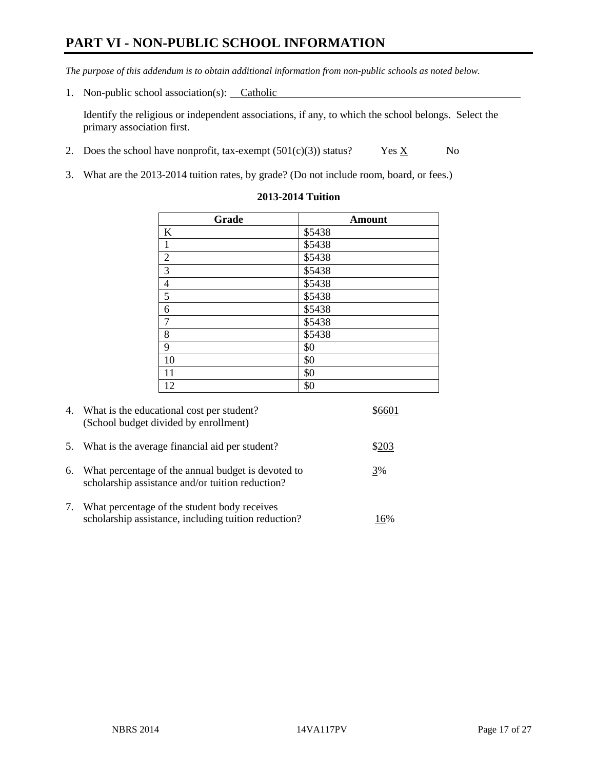# **PART VI - NON-PUBLIC SCHOOL INFORMATION**

*The purpose of this addendum is to obtain additional information from non-public schools as noted below.* 

1. Non-public school association(s): Catholic

Identify the religious or independent associations, if any, to which the school belongs. Select the primary association first.

- 2. Does the school have nonprofit, tax-exempt  $(501(c)(3))$  status? Yes  $\underline{X}$  No
- 3. What are the 2013-2014 tuition rates, by grade? (Do not include room, board, or fees.)

| Grade            | <b>Amount</b> |
|------------------|---------------|
| $\bf K$          | \$5438        |
| $\,1\,$          | \$5438        |
| $\overline{2}$   | \$5438        |
| $\overline{3}$   | \$5438        |
| $\overline{4}$   | \$5438        |
| 5                | \$5438        |
| $\boldsymbol{6}$ | \$5438        |
| $\boldsymbol{7}$ | \$5438        |
| $\,$ 8 $\,$      | \$5438        |
| $\overline{9}$   | \$0           |
| 10               | \$0           |
| 11               | \$0           |
| 12               | \$0           |

#### **2013-2014 Tuition**

|    | 4. What is the educational cost per student?<br>(School budget divided by enrollment)                  |       |
|----|--------------------------------------------------------------------------------------------------------|-------|
| 5. | What is the average financial aid per student?                                                         | \$203 |
| 6. | What percentage of the annual budget is devoted to<br>scholarship assistance and/or tuition reduction? | 3%    |
| 7. | What percentage of the student body receives<br>scholarship assistance, including tuition reduction?   | 16%   |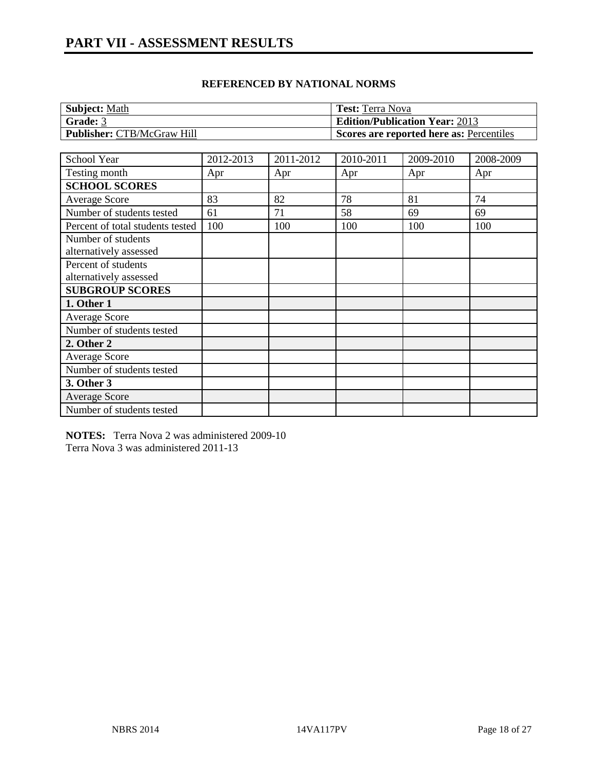| <b>Subject: Math</b>              | <b>Test:</b> Terra Nova                  |
|-----------------------------------|------------------------------------------|
| Grade: 3                          | <b>Edition/Publication Year: 2013</b>    |
| <b>Publisher: CTB/McGraw Hill</b> | Scores are reported here as: Percentiles |

| School Year                      | 2012-2013 | 2011-2012 | 2010-2011 | 2009-2010 | 2008-2009 |
|----------------------------------|-----------|-----------|-----------|-----------|-----------|
| Testing month                    | Apr       | Apr       | Apr       | Apr       | Apr       |
| <b>SCHOOL SCORES</b>             |           |           |           |           |           |
| Average Score                    | 83        | 82        | 78        | 81        | 74        |
| Number of students tested        | 61        | 71        | 58        | 69        | 69        |
| Percent of total students tested | 100       | 100       | 100       | 100       | 100       |
| Number of students               |           |           |           |           |           |
| alternatively assessed           |           |           |           |           |           |
| Percent of students              |           |           |           |           |           |
| alternatively assessed           |           |           |           |           |           |
| <b>SUBGROUP SCORES</b>           |           |           |           |           |           |
| 1. Other 1                       |           |           |           |           |           |
| Average Score                    |           |           |           |           |           |
| Number of students tested        |           |           |           |           |           |
| 2. Other 2                       |           |           |           |           |           |
| Average Score                    |           |           |           |           |           |
| Number of students tested        |           |           |           |           |           |
| 3. Other 3                       |           |           |           |           |           |
| <b>Average Score</b>             |           |           |           |           |           |
| Number of students tested        |           |           |           |           |           |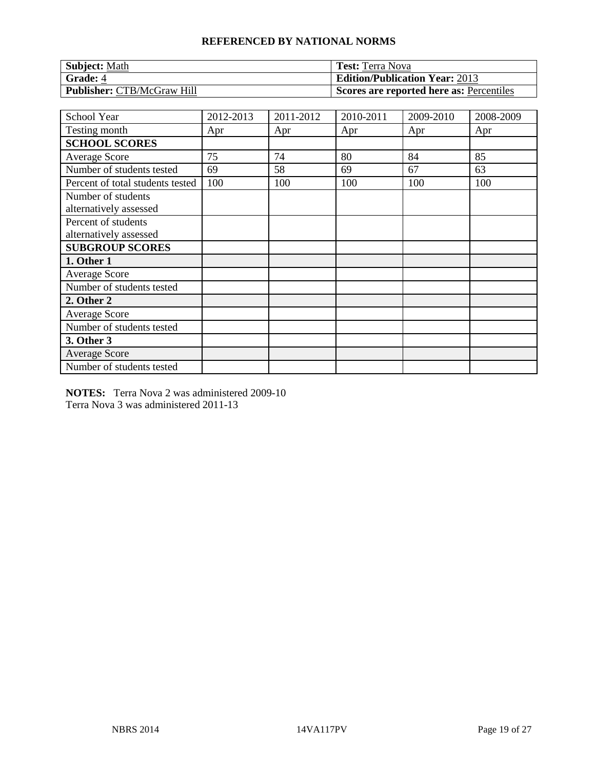| <b>Subject: Math</b>              | <b>Test:</b> Terra Nova                  |
|-----------------------------------|------------------------------------------|
| <b>Grade: 4</b>                   | <b>Edition/Publication Year: 2013</b>    |
| <b>Publisher: CTB/McGraw Hill</b> | Scores are reported here as: Percentiles |

| School Year                                  | 2012-2013 | 2011-2012 | 2010-2011 | 2009-2010 | 2008-2009 |
|----------------------------------------------|-----------|-----------|-----------|-----------|-----------|
| Testing month                                | Apr       | Apr       | Apr       | Apr       | Apr       |
| <b>SCHOOL SCORES</b>                         |           |           |           |           |           |
| <b>Average Score</b>                         | 75        | 74        | 80        | 84        | 85        |
| Number of students tested                    | 69        | 58        | 69        | 67        | 63        |
| Percent of total students tested             | 100       | 100       | 100       | 100       | 100       |
| Number of students<br>alternatively assessed |           |           |           |           |           |
| Percent of students                          |           |           |           |           |           |
| alternatively assessed                       |           |           |           |           |           |
| <b>SUBGROUP SCORES</b>                       |           |           |           |           |           |
| 1. Other 1                                   |           |           |           |           |           |
| <b>Average Score</b>                         |           |           |           |           |           |
| Number of students tested                    |           |           |           |           |           |
| 2. Other 2                                   |           |           |           |           |           |
| Average Score                                |           |           |           |           |           |
| Number of students tested                    |           |           |           |           |           |
| 3. Other 3                                   |           |           |           |           |           |
| <b>Average Score</b>                         |           |           |           |           |           |
| Number of students tested                    |           |           |           |           |           |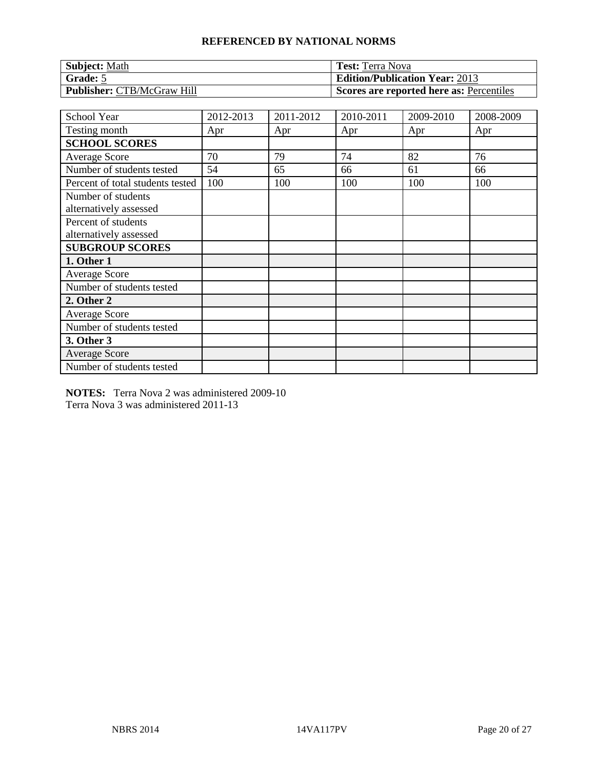| <b>Subject: Math</b>              | <b>Test:</b> Terra Nova                  |
|-----------------------------------|------------------------------------------|
| Grade: 5                          | <b>Edition/Publication Year: 2013</b>    |
| <b>Publisher: CTB/McGraw Hill</b> | Scores are reported here as: Percentiles |

| School Year                                   | 2012-2013 | 2011-2012 | 2010-2011 | 2009-2010 | 2008-2009 |
|-----------------------------------------------|-----------|-----------|-----------|-----------|-----------|
| Testing month                                 | Apr       | Apr       | Apr       | Apr       | Apr       |
| <b>SCHOOL SCORES</b>                          |           |           |           |           |           |
| <b>Average Score</b>                          | 70        | 79        | 74        | 82        | 76        |
| Number of students tested                     | 54        | 65        | 66        | 61        | 66        |
| Percent of total students tested              | 100       | 100       | 100       | 100       | 100       |
| Number of students<br>alternatively assessed  |           |           |           |           |           |
| Percent of students<br>alternatively assessed |           |           |           |           |           |
| <b>SUBGROUP SCORES</b>                        |           |           |           |           |           |
| 1. Other 1                                    |           |           |           |           |           |
| <b>Average Score</b>                          |           |           |           |           |           |
| Number of students tested                     |           |           |           |           |           |
| 2. Other 2                                    |           |           |           |           |           |
| <b>Average Score</b>                          |           |           |           |           |           |
| Number of students tested                     |           |           |           |           |           |
| 3. Other 3                                    |           |           |           |           |           |
| <b>Average Score</b>                          |           |           |           |           |           |
| Number of students tested                     |           |           |           |           |           |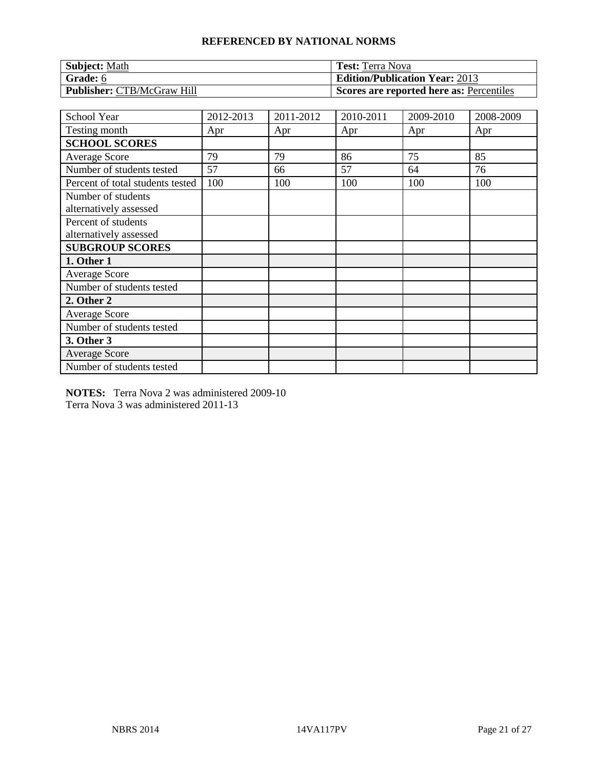| <b>Subject: Math</b>              | <b>Test:</b> Terra Nova                  |
|-----------------------------------|------------------------------------------|
| Grade: 6                          | <b>Edition/Publication Year: 2013</b>    |
| <b>Publisher: CTB/McGraw Hill</b> | Scores are reported here as: Percentiles |

| School Year                                   | 2012-2013 | 2011-2012 | 2010-2011 | 2009-2010 | 2008-2009 |
|-----------------------------------------------|-----------|-----------|-----------|-----------|-----------|
| Testing month                                 | Apr       | Apr       | Apr       | Apr       | Apr       |
| <b>SCHOOL SCORES</b>                          |           |           |           |           |           |
| <b>Average Score</b>                          | 79        | 79        | 86        | 75        | 85        |
| Number of students tested                     | 57        | 66        | 57        | 64        | 76        |
| Percent of total students tested              | 100       | 100       | 100       | 100       | 100       |
| Number of students<br>alternatively assessed  |           |           |           |           |           |
| Percent of students<br>alternatively assessed |           |           |           |           |           |
| <b>SUBGROUP SCORES</b>                        |           |           |           |           |           |
| 1. Other 1                                    |           |           |           |           |           |
| <b>Average Score</b>                          |           |           |           |           |           |
| Number of students tested                     |           |           |           |           |           |
| 2. Other 2                                    |           |           |           |           |           |
| Average Score                                 |           |           |           |           |           |
| Number of students tested                     |           |           |           |           |           |
| 3. Other 3                                    |           |           |           |           |           |
| <b>Average Score</b>                          |           |           |           |           |           |
| Number of students tested                     |           |           |           |           |           |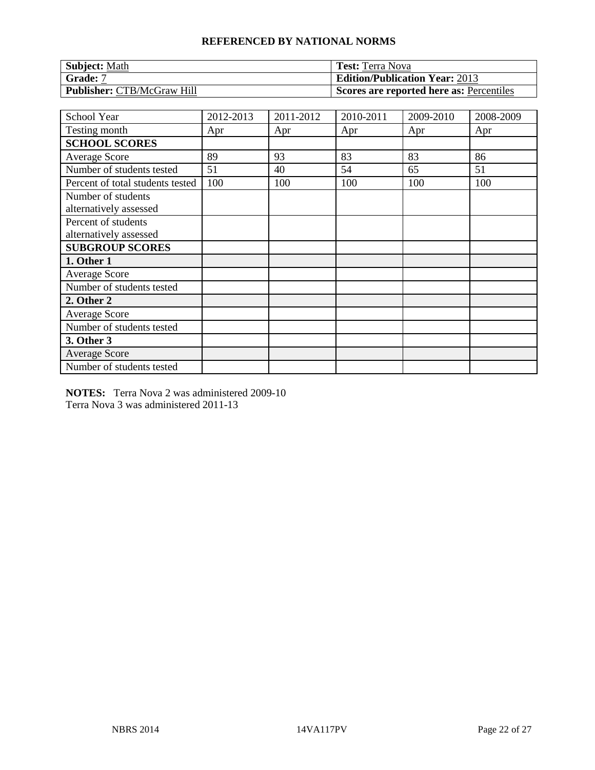| <b>Subject: Math</b>              | <b>Test:</b> Terra Nova                  |
|-----------------------------------|------------------------------------------|
| <b>Grade:</b> 7                   | <b>Edition/Publication Year: 2013</b>    |
| <b>Publisher: CTB/McGraw Hill</b> | Scores are reported here as: Percentiles |

| School Year                                   | 2012-2013 | 2011-2012 | 2010-2011 | 2009-2010 | 2008-2009 |
|-----------------------------------------------|-----------|-----------|-----------|-----------|-----------|
| Testing month                                 | Apr       | Apr       | Apr       | Apr       | Apr       |
| <b>SCHOOL SCORES</b>                          |           |           |           |           |           |
| <b>Average Score</b>                          | 89        | 93        | 83        | 83        | 86        |
| Number of students tested                     | 51        | 40        | 54        | 65        | 51        |
| Percent of total students tested              | 100       | 100       | 100       | 100       | 100       |
| Number of students<br>alternatively assessed  |           |           |           |           |           |
| Percent of students<br>alternatively assessed |           |           |           |           |           |
| <b>SUBGROUP SCORES</b>                        |           |           |           |           |           |
| 1. Other 1                                    |           |           |           |           |           |
| <b>Average Score</b>                          |           |           |           |           |           |
| Number of students tested                     |           |           |           |           |           |
| 2. Other 2                                    |           |           |           |           |           |
| <b>Average Score</b>                          |           |           |           |           |           |
| Number of students tested                     |           |           |           |           |           |
| 3. Other 3                                    |           |           |           |           |           |
| <b>Average Score</b>                          |           |           |           |           |           |
| Number of students tested                     |           |           |           |           |           |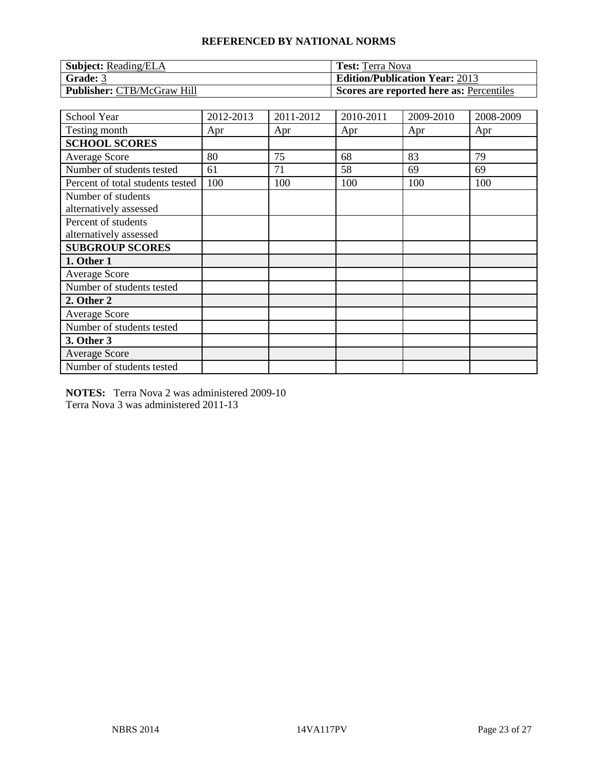| <b>Subject:</b> Reading/ELA       | <b>Test:</b> Terra Nova                  |
|-----------------------------------|------------------------------------------|
| Grade: 3                          | <b>Edition/Publication Year: 2013</b>    |
| <b>Publisher: CTB/McGraw Hill</b> | Scores are reported here as: Percentiles |

| School Year                                   | 2012-2013 | 2011-2012 | 2010-2011 | 2009-2010 | 2008-2009 |
|-----------------------------------------------|-----------|-----------|-----------|-----------|-----------|
| Testing month                                 | Apr       | Apr       | Apr       | Apr       | Apr       |
| <b>SCHOOL SCORES</b>                          |           |           |           |           |           |
| <b>Average Score</b>                          | 80        | 75        | 68        | 83        | 79        |
| Number of students tested                     | 61        | 71        | 58        | 69        | 69        |
| Percent of total students tested              | 100       | 100       | 100       | 100       | 100       |
| Number of students                            |           |           |           |           |           |
| alternatively assessed                        |           |           |           |           |           |
| Percent of students<br>alternatively assessed |           |           |           |           |           |
| <b>SUBGROUP SCORES</b>                        |           |           |           |           |           |
| 1. Other 1                                    |           |           |           |           |           |
| <b>Average Score</b>                          |           |           |           |           |           |
| Number of students tested                     |           |           |           |           |           |
| 2. Other 2                                    |           |           |           |           |           |
| <b>Average Score</b>                          |           |           |           |           |           |
| Number of students tested                     |           |           |           |           |           |
| 3. Other 3                                    |           |           |           |           |           |
| <b>Average Score</b>                          |           |           |           |           |           |
| Number of students tested                     |           |           |           |           |           |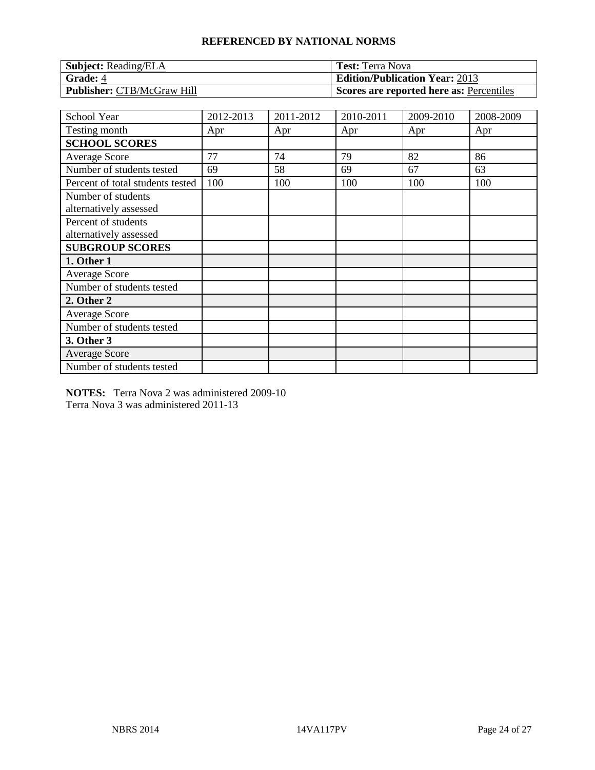| <b>Subject:</b> Reading/ELA       | <b>Test:</b> Terra Nova                  |
|-----------------------------------|------------------------------------------|
| Grade: 4                          | <b>Edition/Publication Year: 2013</b>    |
| <b>Publisher: CTB/McGraw Hill</b> | Scores are reported here as: Percentiles |

| School Year                                   | 2012-2013 | 2011-2012 | 2010-2011 | 2009-2010 | 2008-2009 |
|-----------------------------------------------|-----------|-----------|-----------|-----------|-----------|
| Testing month                                 | Apr       | Apr       | Apr       | Apr       | Apr       |
| <b>SCHOOL SCORES</b>                          |           |           |           |           |           |
| Average Score                                 | 77        | 74        | 79        | 82        | 86        |
| Number of students tested                     | 69        | 58        | 69        | 67        | 63        |
| Percent of total students tested              | 100       | 100       | 100       | 100       | 100       |
| Number of students<br>alternatively assessed  |           |           |           |           |           |
| Percent of students<br>alternatively assessed |           |           |           |           |           |
| <b>SUBGROUP SCORES</b>                        |           |           |           |           |           |
| 1. Other 1                                    |           |           |           |           |           |
| <b>Average Score</b>                          |           |           |           |           |           |
| Number of students tested                     |           |           |           |           |           |
| 2. Other 2                                    |           |           |           |           |           |
| <b>Average Score</b>                          |           |           |           |           |           |
| Number of students tested                     |           |           |           |           |           |
| 3. Other 3                                    |           |           |           |           |           |
| <b>Average Score</b>                          |           |           |           |           |           |
| Number of students tested                     |           |           |           |           |           |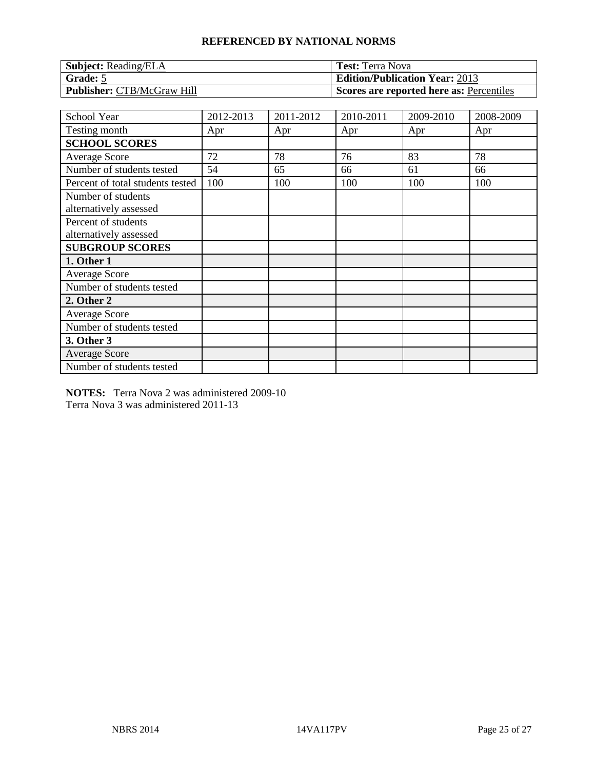| <b>Subject:</b> Reading/ELA       | <b>Test:</b> Terra Nova                  |
|-----------------------------------|------------------------------------------|
| $\mid$ Grade: 5                   | <b>Edition/Publication Year: 2013</b>    |
| <b>Publisher: CTB/McGraw Hill</b> | Scores are reported here as: Percentiles |

| School Year                                   | 2012-2013 | 2011-2012 | 2010-2011 | 2009-2010 | 2008-2009 |
|-----------------------------------------------|-----------|-----------|-----------|-----------|-----------|
| Testing month                                 | Apr       | Apr       | Apr       | Apr       | Apr       |
| <b>SCHOOL SCORES</b>                          |           |           |           |           |           |
| Average Score                                 | 72        | 78        | 76        | 83        | 78        |
| Number of students tested                     | 54        | 65        | 66        | 61        | 66        |
| Percent of total students tested              | 100       | 100       | 100       | 100       | 100       |
| Number of students<br>alternatively assessed  |           |           |           |           |           |
| Percent of students<br>alternatively assessed |           |           |           |           |           |
| <b>SUBGROUP SCORES</b>                        |           |           |           |           |           |
| 1. Other 1                                    |           |           |           |           |           |
| <b>Average Score</b>                          |           |           |           |           |           |
| Number of students tested                     |           |           |           |           |           |
| 2. Other 2                                    |           |           |           |           |           |
| <b>Average Score</b>                          |           |           |           |           |           |
| Number of students tested                     |           |           |           |           |           |
| 3. Other 3                                    |           |           |           |           |           |
| <b>Average Score</b>                          |           |           |           |           |           |
| Number of students tested                     |           |           |           |           |           |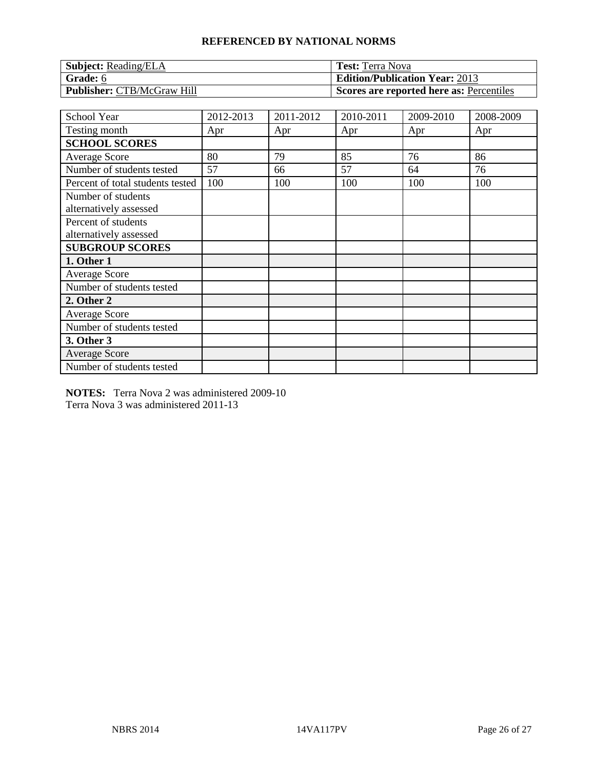| <b>Subject:</b> Reading/ELA       | <b>Test:</b> Terra Nova                  |
|-----------------------------------|------------------------------------------|
| Grade: 6                          | <b>Edition/Publication Year: 2013</b>    |
| <b>Publisher: CTB/McGraw Hill</b> | Scores are reported here as: Percentiles |

| School Year                                   | 2012-2013 | 2011-2012 | 2010-2011 | 2009-2010 | 2008-2009 |
|-----------------------------------------------|-----------|-----------|-----------|-----------|-----------|
| Testing month                                 | Apr       | Apr       | Apr       | Apr       | Apr       |
| <b>SCHOOL SCORES</b>                          |           |           |           |           |           |
| Average Score                                 | 80        | 79        | 85        | 76        | 86        |
| Number of students tested                     | 57        | 66        | 57        | 64        | 76        |
| Percent of total students tested              | 100       | 100       | 100       | 100       | 100       |
| Number of students<br>alternatively assessed  |           |           |           |           |           |
| Percent of students<br>alternatively assessed |           |           |           |           |           |
| <b>SUBGROUP SCORES</b>                        |           |           |           |           |           |
| 1. Other 1                                    |           |           |           |           |           |
| <b>Average Score</b>                          |           |           |           |           |           |
| Number of students tested                     |           |           |           |           |           |
| 2. Other 2                                    |           |           |           |           |           |
| <b>Average Score</b>                          |           |           |           |           |           |
| Number of students tested                     |           |           |           |           |           |
| 3. Other 3                                    |           |           |           |           |           |
| <b>Average Score</b>                          |           |           |           |           |           |
| Number of students tested                     |           |           |           |           |           |